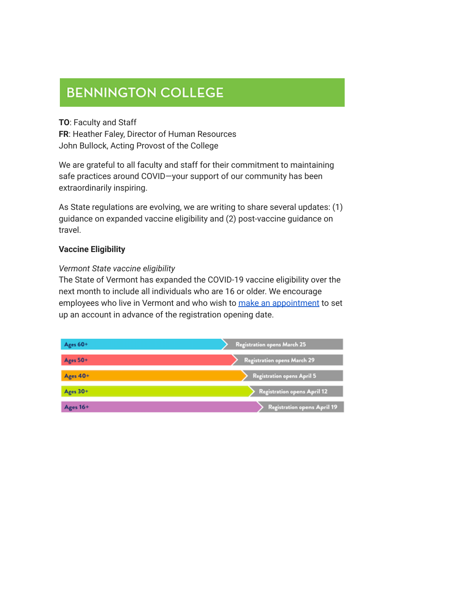# **BENNINGTON COLLEGE**

**TO**: Faculty and Staff **FR**: Heather Faley, Director of Human Resources John Bullock, Acting Provost of the College

We are grateful to all faculty and staff for their commitment to maintaining safe practices around COVID—your support of our community has been extraordinarily inspiring.

As State regulations are evolving, we are writing to share several updates: (1) guidance on expanded vaccine eligibility and (2) post-vaccine guidance on travel.

## **Vaccine Eligibility**

## *Vermont State vaccine eligibility*

The State of Vermont has expanded the COVID-19 vaccine eligibility over the next month to include all individuals who are 16 or older. We encourage employees who live in Vermont and who wish to make an [appointment](https://www.healthvermont.gov/covid-19/vaccine/getting-covid-19-vaccine) to set up an account in advance of the registration opening date.

| Ages 60+ | <b>Registration opens March 25</b> |
|----------|------------------------------------|
| Ages 50+ | <b>Registration opens March 29</b> |
| Ages 40+ | <b>Registration opens April 5</b>  |
| Ages 30+ | <b>Registration opens April 12</b> |
| Ages 16+ | <b>Registration opens April 19</b> |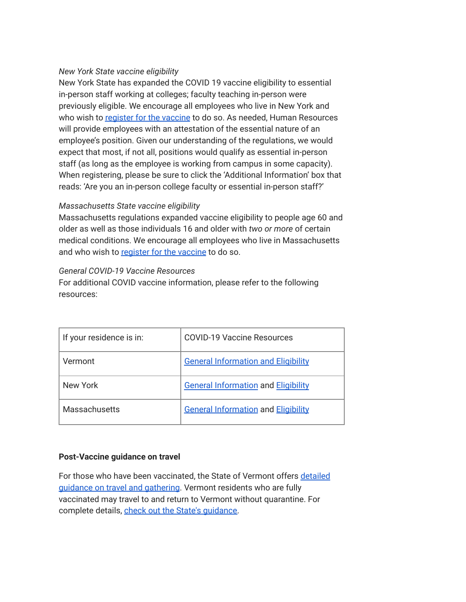# *New York State vaccine eligibility*

New York State has expanded the COVID 19 vaccine eligibility to essential in-person staff working at colleges; faculty teaching in-person were previously eligible. We encourage all employees who live in New York and who wish to register for the [vaccine](https://am-i-eligible.covid19vaccine.health.ny.gov/) to do so. As needed, Human Resources will provide employees with an attestation of the essential nature of an employee's position. Given our understanding of the regulations, we would expect that most, if not all, positions would qualify as essential in-person staff (as long as the employee is working from campus in some capacity). When registering, please be sure to click the 'Additional Information' box that reads: 'Are you an in-person college faculty or essential in-person staff?'

## *Massachusetts State vaccine eligibility*

Massachusetts regulations expanded vaccine eligibility to people age 60 and older as well as those individuals 16 and older with *two or more* of certain medical conditions. We encourage all employees who live in Massachusetts and who wish to register for the [vaccine](https://www.mass.gov/info-details/massachusetts-covid-19-vaccination-phases) to do so.

## *General COVID-19 Vaccine Resources*

For additional COVID vaccine information, please refer to the following resources:

| If your residence is in: | <b>COVID-19 Vaccine Resources</b>          |
|--------------------------|--------------------------------------------|
| Vermont                  | <b>General Information and Eligibility</b> |
| New York                 | <b>General Information and Eligibility</b> |
| Massachusetts            | <b>General Information and Eligibility</b> |

## **Post-Vaccine guidance on travel**

For those who have been vaccinated, the State of Vermont offers [detailed](https://apps.health.vermont.gov/COVID/faq/#4782) guidance on travel and [gathering](https://apps.health.vermont.gov/COVID/faq/#4782). Vermont residents who are fully vaccinated may travel to and return to Vermont without quarantine. For complete details, check out the State's [guidance.](https://www.healthvermont.gov/covid-19)